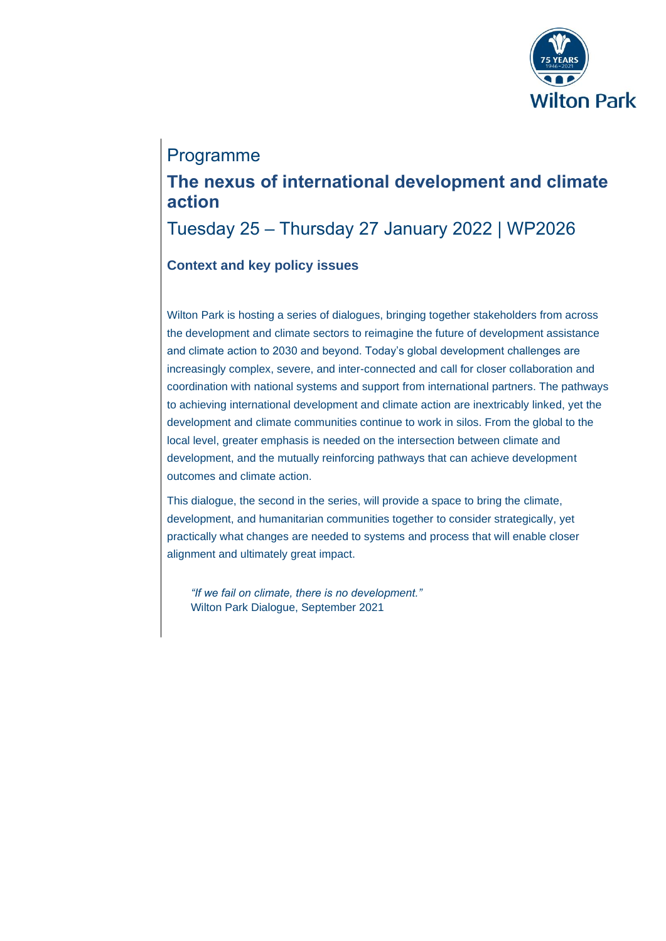

## Programme

## **The nexus of international development and climate action**

Tuesday 25 – Thursday 27 January 2022 | WP2026

## **Context and key policy issues**

Wilton Park is hosting a series of dialogues, bringing together stakeholders from across the development and climate sectors to reimagine the future of development assistance and climate action to 2030 and beyond. Today's global development challenges are increasingly complex, severe, and inter-connected and call for closer collaboration and coordination with national systems and support from international partners. The pathways to achieving international development and climate action are inextricably linked, yet the development and climate communities continue to work in silos. From the global to the local level, greater emphasis is needed on the intersection between climate and development, and the mutually reinforcing pathways that can achieve development outcomes and climate action.

This dialogue, the second in the series, will provide a space to bring the climate, development, and humanitarian communities together to consider strategically, yet practically what changes are needed to systems and process that will enable closer alignment and ultimately great impact.

*"If we fail on climate, there is no development."* Wilton Park Dialogue, September 2021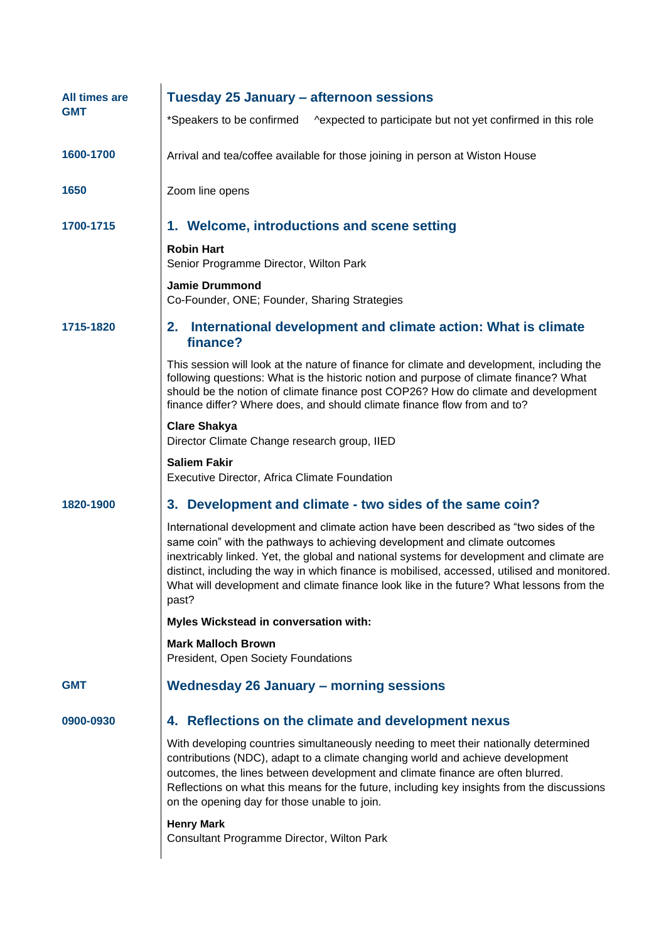| All times are<br><b>GMT</b> | Tuesday 25 January - afternoon sessions                                                                                                                                                                                                                                                                                                                                                                                                                               |
|-----------------------------|-----------------------------------------------------------------------------------------------------------------------------------------------------------------------------------------------------------------------------------------------------------------------------------------------------------------------------------------------------------------------------------------------------------------------------------------------------------------------|
|                             | *Speakers to be confirmed<br>^expected to participate but not yet confirmed in this role                                                                                                                                                                                                                                                                                                                                                                              |
| 1600-1700                   | Arrival and tea/coffee available for those joining in person at Wiston House                                                                                                                                                                                                                                                                                                                                                                                          |
| 1650                        | Zoom line opens                                                                                                                                                                                                                                                                                                                                                                                                                                                       |
| 1700-1715                   | 1. Welcome, introductions and scene setting                                                                                                                                                                                                                                                                                                                                                                                                                           |
|                             | <b>Robin Hart</b><br>Senior Programme Director, Wilton Park                                                                                                                                                                                                                                                                                                                                                                                                           |
|                             | <b>Jamie Drummond</b><br>Co-Founder, ONE; Founder, Sharing Strategies                                                                                                                                                                                                                                                                                                                                                                                                 |
| 1715-1820                   | International development and climate action: What is climate<br>2.<br>finance?                                                                                                                                                                                                                                                                                                                                                                                       |
|                             | This session will look at the nature of finance for climate and development, including the<br>following questions: What is the historic notion and purpose of climate finance? What<br>should be the notion of climate finance post COP26? How do climate and development<br>finance differ? Where does, and should climate finance flow from and to?                                                                                                                 |
|                             | <b>Clare Shakya</b><br>Director Climate Change research group, IIED                                                                                                                                                                                                                                                                                                                                                                                                   |
|                             | <b>Saliem Fakir</b><br>Executive Director, Africa Climate Foundation                                                                                                                                                                                                                                                                                                                                                                                                  |
| 1820-1900                   | 3. Development and climate - two sides of the same coin?                                                                                                                                                                                                                                                                                                                                                                                                              |
|                             | International development and climate action have been described as "two sides of the<br>same coin" with the pathways to achieving development and climate outcomes<br>inextricably linked. Yet, the global and national systems for development and climate are<br>distinct, including the way in which finance is mobilised, accessed, utilised and monitored.<br>What will development and climate finance look like in the future? What lessons from the<br>past? |
|                             | Myles Wickstead in conversation with:                                                                                                                                                                                                                                                                                                                                                                                                                                 |
|                             | <b>Mark Malloch Brown</b><br>President, Open Society Foundations                                                                                                                                                                                                                                                                                                                                                                                                      |
| <b>GMT</b>                  | <b>Wednesday 26 January - morning sessions</b>                                                                                                                                                                                                                                                                                                                                                                                                                        |
| 0900-0930                   | 4. Reflections on the climate and development nexus                                                                                                                                                                                                                                                                                                                                                                                                                   |
|                             | With developing countries simultaneously needing to meet their nationally determined<br>contributions (NDC), adapt to a climate changing world and achieve development<br>outcomes, the lines between development and climate finance are often blurred.<br>Reflections on what this means for the future, including key insights from the discussions<br>on the opening day for those unable to join.                                                                |
|                             | <b>Henry Mark</b><br>Consultant Programme Director, Wilton Park                                                                                                                                                                                                                                                                                                                                                                                                       |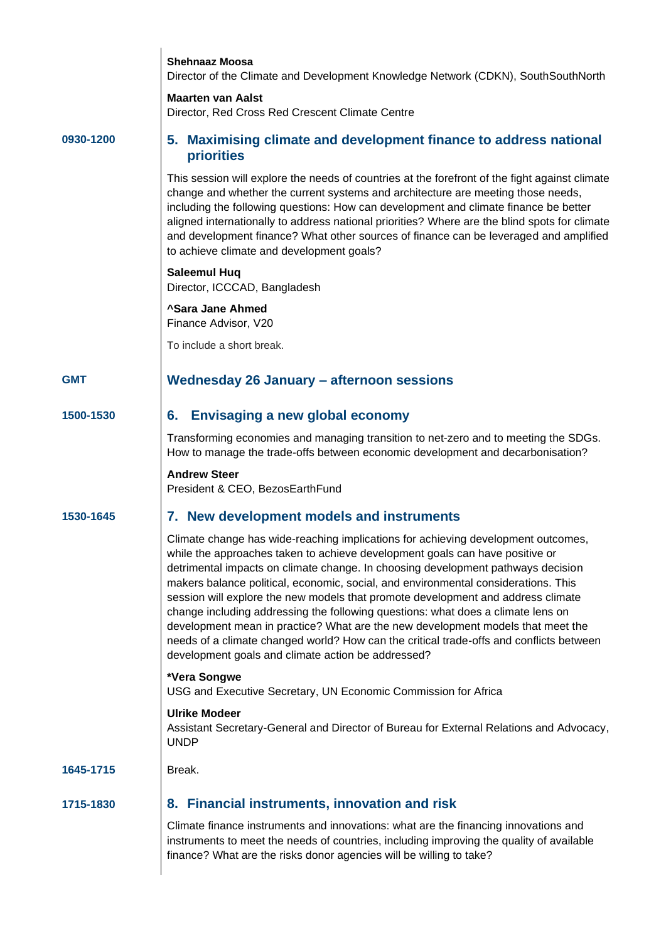|            | <b>Shehnaaz Moosa</b><br>Director of the Climate and Development Knowledge Network (CDKN), SouthSouthNorth                                                                                                                                                                                                                                                                                                                                                                                                                                                                                                                                                                                                                                              |
|------------|---------------------------------------------------------------------------------------------------------------------------------------------------------------------------------------------------------------------------------------------------------------------------------------------------------------------------------------------------------------------------------------------------------------------------------------------------------------------------------------------------------------------------------------------------------------------------------------------------------------------------------------------------------------------------------------------------------------------------------------------------------|
|            | <b>Maarten van Aalst</b><br>Director, Red Cross Red Crescent Climate Centre                                                                                                                                                                                                                                                                                                                                                                                                                                                                                                                                                                                                                                                                             |
| 0930-1200  | 5. Maximising climate and development finance to address national<br>priorities                                                                                                                                                                                                                                                                                                                                                                                                                                                                                                                                                                                                                                                                         |
|            | This session will explore the needs of countries at the forefront of the fight against climate<br>change and whether the current systems and architecture are meeting those needs,<br>including the following questions: How can development and climate finance be better<br>aligned internationally to address national priorities? Where are the blind spots for climate<br>and development finance? What other sources of finance can be leveraged and amplified<br>to achieve climate and development goals?                                                                                                                                                                                                                                       |
|            | <b>Saleemul Hug</b><br>Director, ICCCAD, Bangladesh                                                                                                                                                                                                                                                                                                                                                                                                                                                                                                                                                                                                                                                                                                     |
|            | <b>^Sara Jane Ahmed</b><br>Finance Advisor, V20                                                                                                                                                                                                                                                                                                                                                                                                                                                                                                                                                                                                                                                                                                         |
|            | To include a short break.                                                                                                                                                                                                                                                                                                                                                                                                                                                                                                                                                                                                                                                                                                                               |
| <b>GMT</b> | <b>Wednesday 26 January - afternoon sessions</b>                                                                                                                                                                                                                                                                                                                                                                                                                                                                                                                                                                                                                                                                                                        |
| 1500-1530  | <b>Envisaging a new global economy</b><br>6.                                                                                                                                                                                                                                                                                                                                                                                                                                                                                                                                                                                                                                                                                                            |
|            | Transforming economies and managing transition to net-zero and to meeting the SDGs.<br>How to manage the trade-offs between economic development and decarbonisation?                                                                                                                                                                                                                                                                                                                                                                                                                                                                                                                                                                                   |
|            | <b>Andrew Steer</b><br>President & CEO, BezosEarthFund                                                                                                                                                                                                                                                                                                                                                                                                                                                                                                                                                                                                                                                                                                  |
| 1530-1645  | 7. New development models and instruments                                                                                                                                                                                                                                                                                                                                                                                                                                                                                                                                                                                                                                                                                                               |
|            | Climate change has wide-reaching implications for achieving development outcomes,<br>while the approaches taken to achieve development goals can have positive or<br>detrimental impacts on climate change. In choosing development pathways decision<br>makers balance political, economic, social, and environmental considerations. This<br>session will explore the new models that promote development and address climate<br>change including addressing the following questions: what does a climate lens on<br>development mean in practice? What are the new development models that meet the<br>needs of a climate changed world? How can the critical trade-offs and conflicts between<br>development goals and climate action be addressed? |
|            | *Vera Songwe<br>USG and Executive Secretary, UN Economic Commission for Africa                                                                                                                                                                                                                                                                                                                                                                                                                                                                                                                                                                                                                                                                          |
|            | <b>Ulrike Modeer</b><br>Assistant Secretary-General and Director of Bureau for External Relations and Advocacy,<br><b>UNDP</b>                                                                                                                                                                                                                                                                                                                                                                                                                                                                                                                                                                                                                          |
| 1645-1715  | Break.                                                                                                                                                                                                                                                                                                                                                                                                                                                                                                                                                                                                                                                                                                                                                  |
| 1715-1830  | 8. Financial instruments, innovation and risk                                                                                                                                                                                                                                                                                                                                                                                                                                                                                                                                                                                                                                                                                                           |
|            | Climate finance instruments and innovations: what are the financing innovations and<br>instruments to meet the needs of countries, including improving the quality of available<br>finance? What are the risks donor agencies will be willing to take?                                                                                                                                                                                                                                                                                                                                                                                                                                                                                                  |